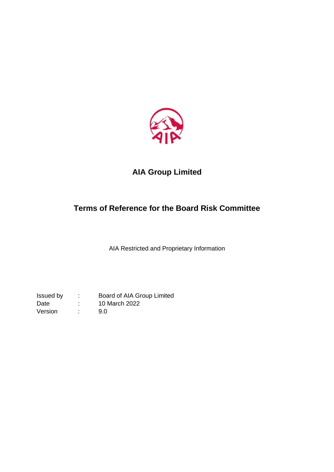

# **AIA Group Limited**

## **Terms of Reference for the Board Risk Committee**

AIA Restricted and Proprietary Information

Issued by : Board of AIA Group Limited Date : 10 March 2022 Version : 9.0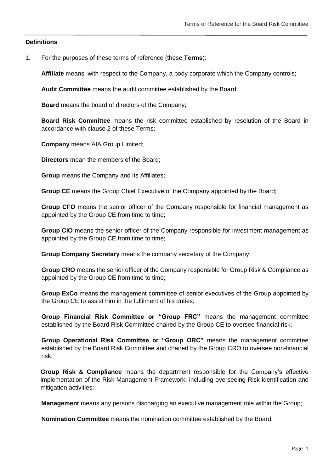#### **Definitions**

1. For the purposes of these terms of reference (these **Terms**):

**Affiliate** means, with respect to the Company, a body corporate which the Company controls;

**Audit Committee** means the audit committee established by the Board;

**Board** means the board of directors of the Company;

**Board Risk Committee** means the risk committee established by resolution of the Board in accordance with clause 2 of these Terms;

**Company** means AIA Group Limited;

**Directors** mean the members of the Board;

**Group** means the Company and its Affiliates;

**Group CE** means the Group Chief Executive of the Company appointed by the Board;

**Group CFO** means the senior officer of the Company responsible for financial management as appointed by the Group CE from time to time;

**Group CIO** means the senior officer of the Company responsible for investment management as appointed by the Group CE from time to time;

**Group Company Secretary** means the company secretary of the Company;

**Group CRO** means the senior officer of the Company responsible for Group Risk & Compliance as appointed by the Group CE from time to time;

**Group ExCo** means the management committee of senior executives of the Group appointed by the Group CE to assist him in the fulfilment of his duties;

**Group Financial Risk Committee or "Group FRC"** means the management committee established by the Board Risk Committee chaired by the Group CE to oversee financial risk;

**Group Operational Risk Committee or "Group ORC"** means the management committee established by the Board Risk Committee and chaired by the Group CRO to oversee non-financial risk;

**Group Risk & Compliance** means the department responsible for the Company's effective implementation of the Risk Management Framework, including overseeing Risk identification and mitigation activities;

**Management** means any persons discharging an executive management role within the Group;

**Nomination Committee** means the nomination committee established by the Board;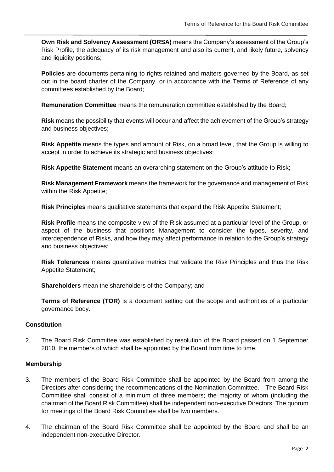**Own Risk and Solvency Assessment (ORSA)** means the Company's assessment of the Group's Risk Profile, the adequacy of its risk management and also its current, and likely future, solvency and liquidity positions;

**Policies** are documents pertaining to rights retained and matters governed by the Board, as set out in the board charter of the Company, or in accordance with the Terms of Reference of any committees established by the Board;

**Remuneration Committee** means the remuneration committee established by the Board;

**Risk** means the possibility that events will occur and affect the achievement of the Group's strategy and business objectives;

**Risk Appetite** means the types and amount of Risk, on a broad level, that the Group is willing to accept in order to achieve its strategic and business objectives;

**Risk Appetite Statement** means an overarching statement on the Group's attitude to Risk;

**Risk Management Framework** means the framework for the governance and management of Risk within the Risk Appetite;

**Risk Principles** means qualitative statements that expand the Risk Appetite Statement;

**Risk Profile** means the composite view of the Risk assumed at a particular level of the Group, or aspect of the business that positions Management to consider the types, severity, and interdependence of Risks, and how they may affect performance in relation to the Group's strategy and business objectives;

**Risk Tolerances** means quantitative metrics that validate the Risk Principles and thus the Risk Appetite Statement;

**Shareholders** mean the shareholders of the Company; and

**Terms of Reference (TOR)** is a document setting out the scope and authorities of a particular governance body.

#### **Constitution**

2. The Board Risk Committee was established by resolution of the Board passed on 1 September 2010, the members of which shall be appointed by the Board from time to time.

#### **Membership**

- 3. The members of the Board Risk Committee shall be appointed by the Board from among the Directors after considering the recommendations of the Nomination Committee. The Board Risk Committee shall consist of a minimum of three members; the majority of whom (including the chairman of the Board Risk Committee) shall be independent non-executive Directors. The quorum for meetings of the Board Risk Committee shall be two members.
- 4. The chairman of the Board Risk Committee shall be appointed by the Board and shall be an independent non-executive Director.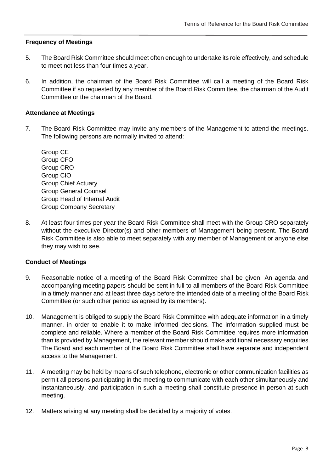### **Frequency of Meetings**

- 5. The Board Risk Committee should meet often enough to undertake its role effectively, and schedule to meet not less than four times a year.
- 6. In addition, the chairman of the Board Risk Committee will call a meeting of the Board Risk Committee if so requested by any member of the Board Risk Committee, the chairman of the Audit Committee or the chairman of the Board.

#### **Attendance at Meetings**

7. The Board Risk Committee may invite any members of the Management to attend the meetings. The following persons are normally invited to attend:

Group CE Group CFO Group CRO Group CIO Group Chief Actuary Group General Counsel Group Head of Internal Audit Group Company Secretary

8. At least four times per year the Board Risk Committee shall meet with the Group CRO separately without the executive Director(s) and other members of Management being present. The Board Risk Committee is also able to meet separately with any member of Management or anyone else they may wish to see.

#### **Conduct of Meetings**

- 9. Reasonable notice of a meeting of the Board Risk Committee shall be given. An agenda and accompanying meeting papers should be sent in full to all members of the Board Risk Committee in a timely manner and at least three days before the intended date of a meeting of the Board Risk Committee (or such other period as agreed by its members).
- 10. Management is obliged to supply the Board Risk Committee with adequate information in a timely manner, in order to enable it to make informed decisions. The information supplied must be complete and reliable. Where a member of the Board Risk Committee requires more information than is provided by Management, the relevant member should make additional necessary enquiries. The Board and each member of the Board Risk Committee shall have separate and independent access to the Management.
- 11. A meeting may be held by means of such telephone, electronic or other communication facilities as permit all persons participating in the meeting to communicate with each other simultaneously and instantaneously, and participation in such a meeting shall constitute presence in person at such meeting.
- 12. Matters arising at any meeting shall be decided by a majority of votes.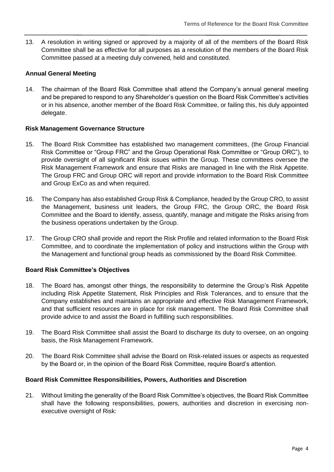13. A resolution in writing signed or approved by a majority of all of the members of the Board Risk Committee shall be as effective for all purposes as a resolution of the members of the Board Risk Committee passed at a meeting duly convened, held and constituted.

## **Annual General Meeting**

14. The chairman of the Board Risk Committee shall attend the Company's annual general meeting and be prepared to respond to any Shareholder's question on the Board Risk Committee's activities or in his absence, another member of the Board Risk Committee, or failing this, his duly appointed delegate.

## **Risk Management Governance Structure**

- 15. The Board Risk Committee has established two management committees, (the Group Financial Risk Committee or "Group FRC" and the Group Operational Risk Committee or "Group ORC"), to provide oversight of all significant Risk issues within the Group. These committees oversee the Risk Management Framework and ensure that Risks are managed in line with the Risk Appetite. The Group FRC and Group ORC will report and provide information to the Board Risk Committee and Group ExCo as and when required.
- 16. The Company has also established Group Risk & Compliance, headed by the Group CRO, to assist the Management, business unit leaders, the Group FRC, the Group ORC, the Board Risk Committee and the Board to identify, assess, quantify, manage and mitigate the Risks arising from the business operations undertaken by the Group.
- 17. The Group CRO shall provide and report the Risk Profile and related information to the Board Risk Committee, and to coordinate the implementation of policy and instructions within the Group with the Management and functional group heads as commissioned by the Board Risk Committee.

## **Board Risk Committee's Objectives**

- 18. The Board has, amongst other things, the responsibility to determine the Group's Risk Appetite including Risk Appetite Statement, Risk Principles and Risk Tolerances, and to ensure that the Company establishes and maintains an appropriate and effective Risk Management Framework, and that sufficient resources are in place for risk management. The Board Risk Committee shall provide advice to and assist the Board in fulfilling such responsibilities.
- 19. The Board Risk Committee shall assist the Board to discharge its duty to oversee, on an ongoing basis, the Risk Management Framework.
- 20. The Board Risk Committee shall advise the Board on Risk-related issues or aspects as requested by the Board or, in the opinion of the Board Risk Committee, require Board's attention.

## **Board Risk Committee Responsibilities, Powers, Authorities and Discretion**

21. Without limiting the generality of the Board Risk Committee's objectives, the Board Risk Committee shall have the following responsibilities, powers, authorities and discretion in exercising nonexecutive oversight of Risk: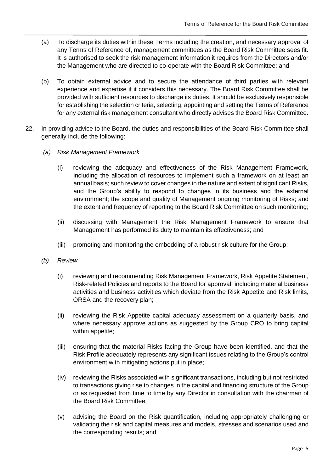- (a) To discharge its duties within these Terms including the creation, and necessary approval of any Terms of Reference of, management committees as the Board Risk Committee sees fit. It is authorised to seek the risk management information it requires from the Directors and/or the Management who are directed to co-operate with the Board Risk Committee; and
- (b) To obtain external advice and to secure the attendance of third parties with relevant experience and expertise if it considers this necessary. The Board Risk Committee shall be provided with sufficient resources to discharge its duties. It should be exclusively responsible for establishing the selection criteria, selecting, appointing and setting the Terms of Reference for any external risk management consultant who directly advises the Board Risk Committee.
- 22. In providing advice to the Board, the duties and responsibilities of the Board Risk Committee shall generally include the following:
	- *(a) Risk Management Framework*
		- (i) reviewing the adequacy and effectiveness of the Risk Management Framework, including the allocation of resources to implement such a framework on at least an annual basis; such review to cover changes in the nature and extent of significant Risks, and the Group's ability to respond to changes in its business and the external environment; the scope and quality of Management ongoing monitoring of Risks; and the extent and frequency of reporting to the Board Risk Committee on such monitoring;
		- (ii) discussing with Management the Risk Management Framework to ensure that Management has performed its duty to maintain its effectiveness; and
		- (iii) promoting and monitoring the embedding of a robust risk culture for the Group;
	- *(b) Review*
		- (i) reviewing and recommending Risk Management Framework, Risk Appetite Statement, Risk-related Policies and reports to the Board for approval, including material business activities and business activities which deviate from the Risk Appetite and Risk limits, ORSA and the recovery plan;
		- (ii) reviewing the Risk Appetite capital adequacy assessment on a quarterly basis, and where necessary approve actions as suggested by the Group CRO to bring capital within appetite;
		- (iii) ensuring that the material Risks facing the Group have been identified, and that the Risk Profile adequately represents any significant issues relating to the Group's control environment with mitigating actions put in place;
		- (iv) reviewing the Risks associated with significant transactions, including but not restricted to transactions giving rise to changes in the capital and financing structure of the Group or as requested from time to time by any Director in consultation with the chairman of the Board Risk Committee;
		- (v) advising the Board on the Risk quantification, including appropriately challenging or validating the risk and capital measures and models, stresses and scenarios used and the corresponding results; and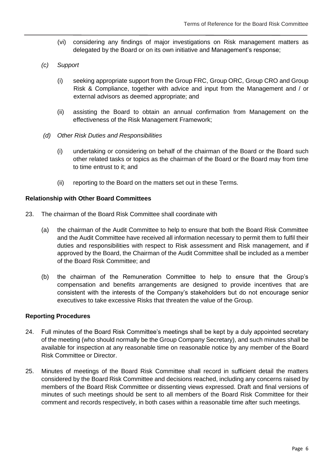- (vi) considering any findings of major investigations on Risk management matters as delegated by the Board or on its own initiative and Management's response;
- *(c) Support*
	- (i) seeking appropriate support from the Group FRC, Group ORC, Group CRO and Group Risk & Compliance, together with advice and input from the Management and / or external advisors as deemed appropriate; and
	- (ii) assisting the Board to obtain an annual confirmation from Management on the effectiveness of the Risk Management Framework;
- *(d) Other Risk Duties and Responsibilities*
	- (i) undertaking or considering on behalf of the chairman of the Board or the Board such other related tasks or topics as the chairman of the Board or the Board may from time to time entrust to it; and
	- (ii) reporting to the Board on the matters set out in these Terms.

### **Relationship with Other Board Committees**

- 23. The chairman of the Board Risk Committee shall coordinate with
	- (a) the chairman of the Audit Committee to help to ensure that both the Board Risk Committee and the Audit Committee have received all information necessary to permit them to fulfil their duties and responsibilities with respect to Risk assessment and Risk management, and if approved by the Board, the Chairman of the Audit Committee shall be included as a member of the Board Risk Committee; and
	- (b) the chairman of the Remuneration Committee to help to ensure that the Group's compensation and benefits arrangements are designed to provide incentives that are consistent with the interests of the Company's stakeholders but do not encourage senior executives to take excessive Risks that threaten the value of the Group.

## **Reporting Procedures**

- 24. Full minutes of the Board Risk Committee's meetings shall be kept by a duly appointed secretary of the meeting (who should normally be the Group Company Secretary), and such minutes shall be available for inspection at any reasonable time on reasonable notice by any member of the Board Risk Committee or Director.
- 25. Minutes of meetings of the Board Risk Committee shall record in sufficient detail the matters considered by the Board Risk Committee and decisions reached, including any concerns raised by members of the Board Risk Committee or dissenting views expressed. Draft and final versions of minutes of such meetings should be sent to all members of the Board Risk Committee for their comment and records respectively, in both cases within a reasonable time after such meetings.